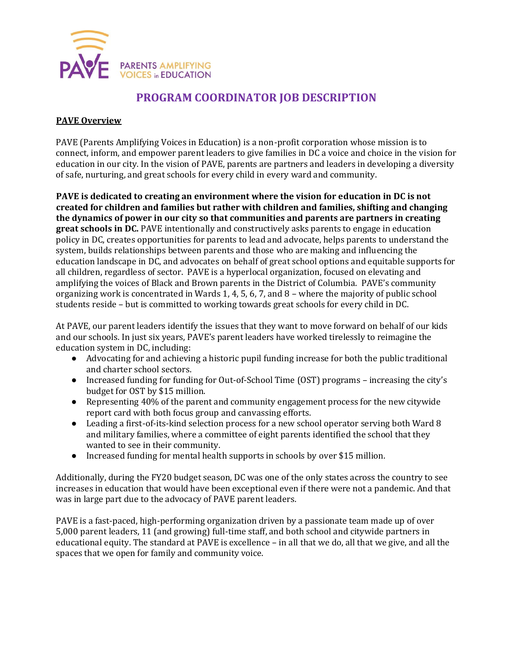

# **PROGRAM COORDINATOR JOB DESCRIPTION**

#### **PAVE Overview**

PAVE (Parents Amplifying Voices in Education) is a non-profit corporation whose mission is to connect, inform, and empower parent leaders to give families in DC a voice and choice in the vision for education in our city. In the vision of PAVE, parents are partners and leaders in developing a diversity of safe, nurturing, and great schools for every child in every ward and community.

**PAVE is dedicated to creating an environment where the vision for education in DC is not created for children and families but rather with children and families, shifting and changing the dynamics of power in our city so that communities and parents are partners in creating great schools in DC.** PAVE intentionally and constructively asks parents to engage in education policy in DC, creates opportunities for parents to lead and advocate, helps parents to understand the system, builds relationships between parents and those who are making and influencing the education landscape in DC, and advocates on behalf of great school options and equitable supports for all children, regardless of sector. PAVE is a hyperlocal organization, focused on elevating and amplifying the voices of Black and Brown parents in the District of Columbia. PAVE's community organizing work is concentrated in Wards 1, 4, 5, 6, 7, and 8 – where the majority of public school students reside – but is committed to working towards great schools for every child in DC.

At PAVE, our parent leaders identify the issues that they want to move forward on behalf of our kids and our schools. In just six years, PAVE's parent leaders have worked tirelessly to reimagine the education system in DC, including:

- Advocating for and achieving a historic pupil funding increase for both the public traditional and charter school sectors.
- Increased funding for funding for Out-of-School Time (OST) programs increasing the city's budget for OST by \$15 million.
- Representing 40% of the parent and community engagement process for the new citywide report card with both focus group and canvassing efforts.
- Leading a first-of-its-kind selection process for a new school operator serving both Ward 8 and military families, where a committee of eight parents identified the school that they wanted to see in their community.
- Increased funding for mental health supports in schools by over \$15 million.

Additionally, during the FY20 budget season, DC was one of the only states across the country to see increases in education that would have been exceptional even if there were not a pandemic. And that was in large part due to the advocacy of PAVE parent leaders.

PAVE is a fast-paced, high-performing organization driven by a passionate team made up of over 5,000 parent leaders, 11 (and growing) full-time staff, and both school and citywide partners in educational equity. The standard at PAVE is excellence – in all that we do, all that we give, and all the spaces that we open for family and community voice.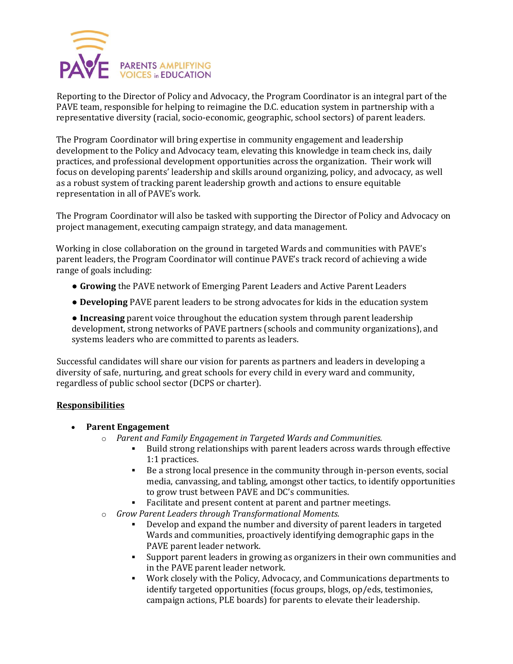

Reporting to the Director of Policy and Advocacy, the Program Coordinator is an integral part of the PAVE team, responsible for helping to reimagine the D.C. education system in partnership with a representative diversity (racial, socio-economic, geographic, school sectors) of parent leaders.

The Program Coordinator will bring expertise in community engagement and leadership development to the Policy and Advocacy team, elevating this knowledge in team check ins, daily practices, and professional development opportunities across the organization. Their work will focus on developing parents' leadership and skills around organizing, policy, and advocacy, as well as a robust system of tracking parent leadership growth and actions to ensure equitable representation in all of PAVE's work.

The Program Coordinator will also be tasked with supporting the Director of Policy and Advocacy on project management, executing campaign strategy, and data management.

Working in close collaboration on the ground in targeted Wards and communities with PAVE's parent leaders, the Program Coordinator will continue PAVE's track record of achieving a wide range of goals including:

- **Growing** the PAVE network of Emerging Parent Leaders and Active Parent Leaders
- **Developing** PAVE parent leaders to be strong advocates for kids in the education system

● **Increasing** parent voice throughout the education system through parent leadership development, strong networks of PAVE partners (schools and community organizations), and systems leaders who are committed to parents as leaders.

Successful candidates will share our vision for parents as partners and leaders in developing a diversity of safe, nurturing, and great schools for every child in every ward and community, regardless of public school sector (DCPS or charter).

#### **Responsibilities**

- **Parent Engagement**
	- o *Parent and Family Engagement in Targeted Wards and Communities.*
		- Build strong relationships with parent leaders across wards through effective 1:1 practices.
		- Be a strong local presence in the community through in-person events, social media, canvassing, and tabling, amongst other tactics, to identify opportunities to grow trust between PAVE and DC's communities.
		- Facilitate and present content at parent and partner meetings.
	- o *Grow Parent Leaders through Transformational Moments.*
		- Develop and expand the number and diversity of parent leaders in targeted Wards and communities, proactively identifying demographic gaps in the PAVE parent leader network.
		- Support parent leaders in growing as organizers in their own communities and in the PAVE parent leader network.
		- Work closely with the Policy, Advocacy, and Communications departments to identify targeted opportunities (focus groups, blogs, op/eds, testimonies, campaign actions, PLE boards) for parents to elevate their leadership.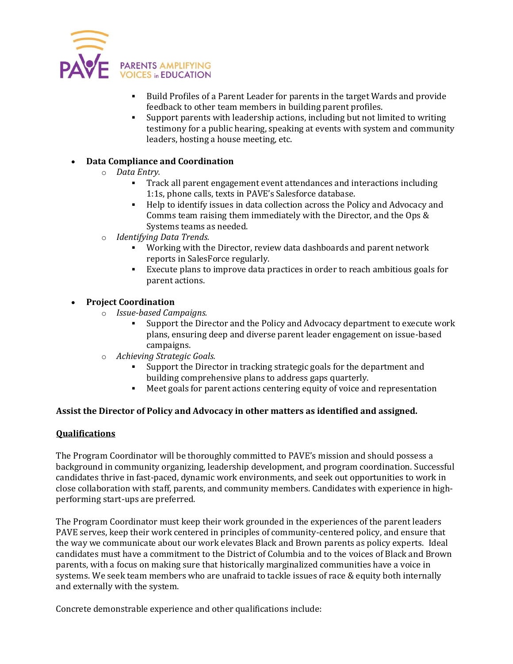

- Build Profiles of a Parent Leader for parents in the target Wards and provide feedback to other team members in building parent profiles.
- Support parents with leadership actions, including but not limited to writing testimony for a public hearing, speaking at events with system and community leaders, hosting a house meeting, etc.

### • **Data Compliance and Coordination**

#### o *Data Entry.*

- Track all parent engagement event attendances and interactions including 1:1s, phone calls, texts in PAVE's Salesforce database.
- Help to identify issues in data collection across the Policy and Advocacy and Comms team raising them immediately with the Director, and the Ops & Systems teams as needed.
- o *Identifying Data Trends.*
	- Working with the Director, review data dashboards and parent network reports in SalesForce regularly.
	- Execute plans to improve data practices in order to reach ambitious goals for parent actions.

## • **Project Coordination**

- o *Issue-based Campaigns.*
	- Support the Director and the Policy and Advocacy department to execute work plans, ensuring deep and diverse parent leader engagement on issue-based campaigns.
- Achieving Strategic Goals.
	- Support the Director in tracking strategic goals for the department and building comprehensive plans to address gaps quarterly.
	- Meet goals for parent actions centering equity of voice and representation

#### **Assist the Director of Policy and Advocacy in other matters as identified and assigned.**

#### **Qualifications**

The Program Coordinator will be thoroughly committed to PAVE's mission and should possess a background in community organizing, leadership development, and program coordination. Successful candidates thrive in fast-paced, dynamic work environments, and seek out opportunities to work in close collaboration with staff, parents, and community members. Candidates with experience in highperforming start-ups are preferred.

The Program Coordinator must keep their work grounded in the experiences of the parent leaders PAVE serves, keep their work centered in principles of community-centered policy, and ensure that the way we communicate about our work elevates Black and Brown parents as policy experts. Ideal candidates must have a commitment to the District of Columbia and to the voices of Black and Brown parents, with a focus on making sure that historically marginalized communities have a voice in systems. We seek team members who are unafraid to tackle issues of race & equity both internally and externally with the system.

Concrete demonstrable experience and other qualifications include: